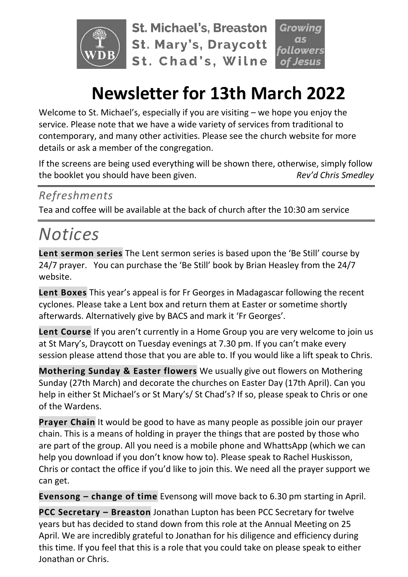

**St. Michael's, Breaston St. Mary's, Draycott** St. Chad's, Wilne **lowers** 

# **Newsletter for 13th March 2022**

Welcome to St. Michael's, especially if you are visiting – we hope you enjoy the service. Please note that we have a wide variety of services from traditional to contemporary, and many other activities. Please see the church website for more details or ask a member of the congregation.

If the screens are being used everything will be shown there, otherwise, simply follow the booklet you should have been given. *Rev'd Chris Smedley*

### *Refreshments*

Tea and coffee will be available at the back of church after the 10:30 am service

# *Notices*

**Lent sermon series** The Lent sermon series is based upon the 'Be Still' course by 24/7 prayer. You can purchase the 'Be Still' book by Brian Heasley from the 24/7 website.

**Lent Boxes** This year's appeal is for Fr Georges in Madagascar following the recent cyclones. Please take a Lent box and return them at Easter or sometime shortly afterwards. Alternatively give by BACS and mark it 'Fr Georges'.

**Lent Course** If you aren't currently in a Home Group you are very welcome to join us at St Mary's, Draycott on Tuesday evenings at 7.30 pm. If you can't make every session please attend those that you are able to. If you would like a lift speak to Chris.

**Mothering Sunday & Easter flowers** We usually give out flowers on Mothering Sunday (27th March) and decorate the churches on Easter Day (17th April). Can you help in either St Michael's or St Mary's/ St Chad's? If so, please speak to Chris or one of the Wardens.

**Prayer Chain** It would be good to have as many people as possible join our prayer chain. This is a means of holding in prayer the things that are posted by those who are part of the group. All you need is a mobile phone and WhattsApp (which we can help you download if you don't know how to). Please speak to Rachel Huskisson, Chris or contact the office if you'd like to join this. We need all the prayer support we can get.

**Evensong – change of time** Evensong will move back to 6.30 pm starting in April.

**PCC Secretary – Breaston** Jonathan Lupton has been PCC Secretary for twelve years but has decided to stand down from this role at the Annual Meeting on 25 April. We are incredibly grateful to Jonathan for his diligence and efficiency during this time. If you feel that this is a role that you could take on please speak to either Jonathan or Chris.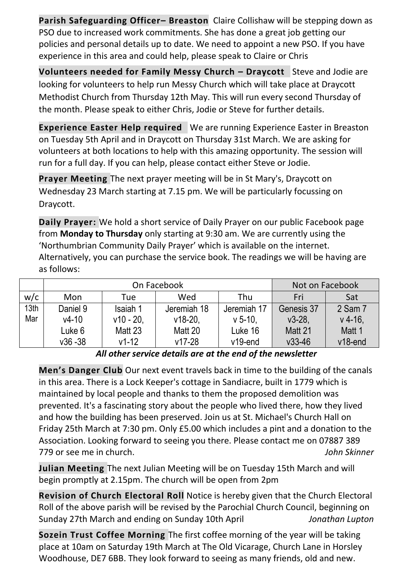**Parish Safeguarding Officer– Breaston** Claire Collishaw will be stepping down as PSO due to increased work commitments. She has done a great job getting our policies and personal details up to date. We need to appoint a new PSO. If you have experience in this area and could help, please speak to Claire or Chris

**Volunteers needed for Family Messy Church – Draycott** Steve and Jodie are looking for volunteers to help run Messy Church which will take place at Draycott Methodist Church from Thursday 12th May. This will run every second Thursday of the month. Please speak to either Chris, Jodie or Steve for further details.

**Experience Easter Help required** We are running Experience Easter in Breaston on Tuesday 5th April and in Draycott on Thursday 31st March. We are asking for volunteers at both locations to help with this amazing opportunity. The session will run for a full day. If you can help, please contact either Steve or Jodie.

**Prayer Meeting** The next prayer meeting will be in St Mary's, Draycott on Wednesday 23 March starting at 7.15 pm. We will be particularly focussing on Draycott.

**Daily Prayer:** We hold a short service of Daily Prayer on our public Facebook page from **Monday to Thursday** only starting at 9:30 am. We are currently using the 'Northumbrian Community Daily Prayer' which is available on the internet. Alternatively, you can purchase the service book. The readings we will be having are as follows:

|                  |            | On Facebook | Not on Facebook |             |            |            |
|------------------|------------|-------------|-----------------|-------------|------------|------------|
| w/c              | Mon        | Tue         | Wed             | Thu         | Fri        | Sat        |
| 13 <sub>th</sub> | Daniel 9   | Isaiah 1    | Jeremiah 18     | Jeremiah 17 | Genesis 37 | 2 Sam 7    |
| Mar              | $v4-10$    | $v10 - 20.$ | $v18-20.$       | $v$ 5-10.   | $v3-28.$   | $v$ 4-16.  |
|                  | Luke 6     | Matt 23     | Matt 20         | Luke 16     | Matt 21    | Matt 1     |
|                  | $v36 - 38$ | $v1-12$     | $v17 - 28$      | $v19$ -end  | $v33 - 46$ | $v18$ -end |

#### *All other service details are at the end of the newsletter*

**Men's Danger Club** Our next event travels back in time to the building of the canals in this area. There is a Lock Keeper's cottage in Sandiacre, built in 1779 which is maintained by local people and thanks to them the proposed demolition was prevented. It's a fascinating story about the people who lived there, how they lived and how the building has been preserved. Join us at St. Michael's Church Hall on Friday 25th March at 7:30 pm. Only £5.00 which includes a pint and a donation to the Association. Looking forward to seeing you there. Please contact me on 07887 389 779 or see me in church. *John Skinner*

**Julian Meeting** The next Julian Meeting will be on Tuesday 15th March and will begin promptly at 2.15pm. The church will be open from 2pm

**Revision of Church Electoral Roll** Notice is hereby given that the Church Electoral Roll of the above parish will be revised by the Parochial Church Council, beginning on Sunday 27th March and ending on Sunday 10th April *Jonathan Lupton*

**Sozein Trust Coffee Morning** The first coffee morning of the year will be taking place at 10am on Saturday 19th March at The Old Vicarage, Church Lane in Horsley Woodhouse, DE7 6BB. They look forward to seeing as many friends, old and new.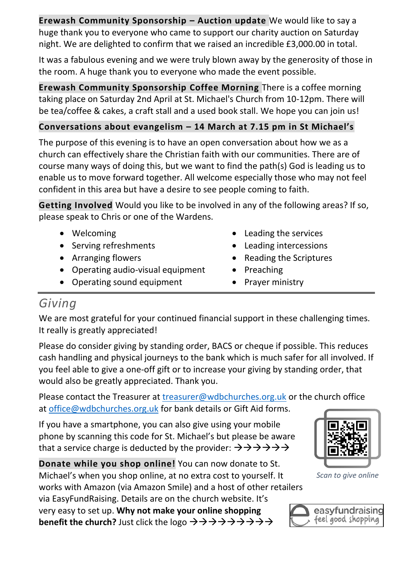**Erewash Community Sponsorship – Auction update** We would like to say a huge thank you to everyone who came to support our charity auction on Saturday night. We are delighted to confirm that we raised an incredible £3,000.00 in total.

It was a fabulous evening and we were truly blown away by the generosity of those in the room. A huge thank you to everyone who made the event possible.

**Erewash Community Sponsorship Coffee Morning** There is a coffee morning taking place on Saturday 2nd April at St. Michael's Church from 10-12pm. There will be tea/coffee & cakes, a craft stall and a used book stall. We hope you can join us!

#### **Conversations about evangelism – 14 March at 7.15 pm in St Michael's**

The purpose of this evening is to have an open conversation about how we as a church can effectively share the Christian faith with our communities. There are of course many ways of doing this, but we want to find the path(s) God is leading us to enable us to move forward together. All welcome especially those who may not feel confident in this area but have a desire to see people coming to faith.

**Getting Involved** Would you like to be involved in any of the following areas? If so, please speak to Chris or one of the Wardens.

- Welcoming
- Serving refreshments
- Arranging flowers
- Operating audio-visual equipment
- Operating sound equipment
- Leading the services
- Leading intercessions
- Reading the Scriptures
- Preaching
- Prayer ministry

### *Giving*

We are most grateful for your continued financial support in these challenging times. It really is greatly appreciated!

Please do consider giving by standing order, BACS or cheque if possible. This reduces cash handling and physical journeys to the bank which is much safer for all involved. If you feel able to give a one-off gift or to increase your giving by standing order, that would also be greatly appreciated. Thank you.

Please contact the Treasurer at [treasurer@wdbchurches.org.uk](mailto:treasurer@wdbchurches.org.uk) or the church office at [office@wdbchurches.org.uk](mailto:office@wdbchurches.org.uk) for bank details or Gift Aid forms.

If you have a smartphone, you can also give using your mobile phone by scanning this code for St. Michael's but please be aware that a service charge is deducted by the provider:  $\rightarrow \rightarrow \rightarrow \rightarrow \rightarrow \rightarrow$ 

**Donate while you shop online!** You can now donate to St. Michael's when you shop online, at no extra cost to yourself. It

works with Amazon (via Amazon Smile) and a host of other retailers via EasyFundRaising. Details are on the [church website](http://www.stmichaelsbreaston.org.uk/index.php/113-news/236-giving-online). It's

very easy to set up. **Why not make your online shopping benefit the church?** Just click the logo →→→→→→→→→



*Scan to give online*